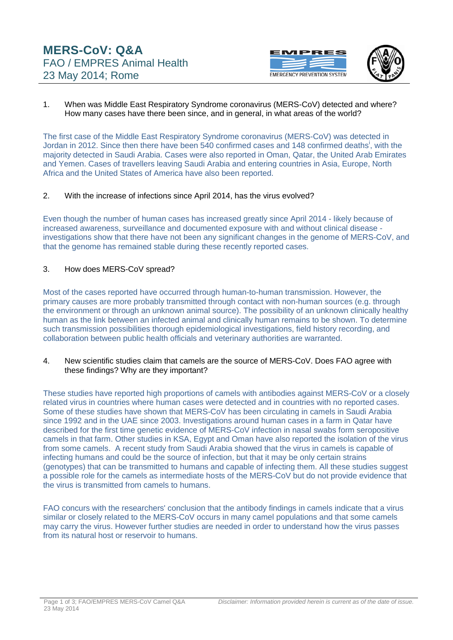



1. When was Middle East Respiratory Syndrome coronavirus (MERS-CoV) detected and where? How many cases have there been since, and in general, in what areas of the world?

The first case of the Middle East Respiratory Syndrome coronavirus (MERS-CoV) was detected in Jordan [i](#page-2-0)n 2012. Since then there have been 540 confirmed cases and 148 confirmed deaths<sup>i</sup>, with the majority detected in Saudi Arabia. Cases were also reported in Oman, Qatar, the United Arab Emirates and Yemen. Cases of travellers leaving Saudi Arabia and entering countries in Asia, Europe, North Africa and the United States of America have also been reported.

### 2. With the increase of infections since April 2014, has the virus evolved?

Even though the number of human cases has increased greatly since April 2014 - likely because of increased awareness, surveillance and documented exposure with and without clinical disease investigations show that there have not been any significant changes in the genome of MERS-CoV, and that the genome has remained stable during these recently reported cases.

### 3. How does MERS-CoV spread?

Most of the cases reported have occurred through human-to-human transmission. However, the primary causes are more probably transmitted through contact with non-human sources (e.g. through the environment or through an unknown animal source). The possibility of an unknown clinically healthy human as the link between an infected animal and clinically human remains to be shown. To determine such transmission possibilities thorough epidemiological investigations, field history recording, and collaboration between public health officials and veterinary authorities are warranted.

4. New scientific studies claim that camels are the source of MERS-CoV. Does FAO agree with these findings? Why are they important?

These studies have reported high proportions of camels with antibodies against MERS-CoV or a closely related virus in countries where human cases were detected and in countries with no reported cases. Some of these studies have shown that MERS-CoV has been circulating in camels in Saudi Arabia since 1992 and in the UAE since 2003. Investigations around human cases in a farm in Qatar have described for the first time genetic evidence of MERS-CoV infection in nasal swabs form seropositive camels in that farm. Other studies in KSA, Egypt and Oman have also reported the isolation of the virus from some camels. A recent study from Saudi Arabia showed that the virus in camels is capable of infecting humans and could be the source of infection, but that it may be only certain strains (genotypes) that can be transmitted to humans and capable of infecting them. All these studies suggest a possible role for the camels as intermediate hosts of the MERS-CoV but do not provide evidence that the virus is transmitted from camels to humans.

FAO concurs with the researchers' conclusion that the antibody findings in camels indicate that a virus similar or closely related to the MERS-CoV occurs in many camel populations and that some camels may carry the virus. However further studies are needed in order to understand how the virus passes from its natural host or reservoir to humans.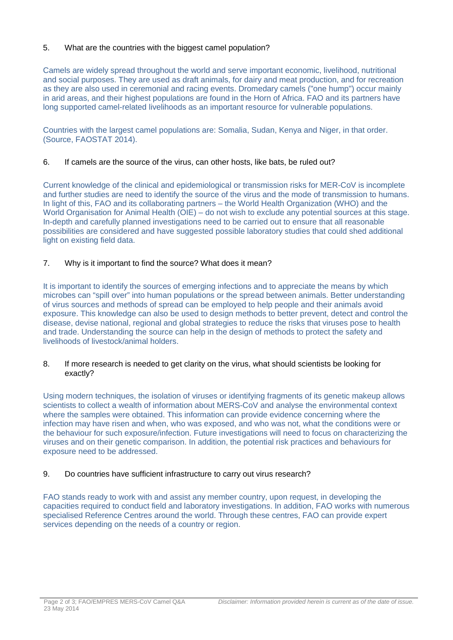# 5. What are the countries with the biggest camel population?

Camels are widely spread throughout the world and serve important economic, livelihood, nutritional and social purposes. They are used as draft animals, for dairy and meat production, and for recreation as they are also used in ceremonial and racing events. Dromedary camels ("one hump") occur mainly in arid areas, and their highest populations are found in the Horn of Africa. FAO and its partners have long supported camel-related livelihoods as an important resource for vulnerable populations.

Countries with the largest camel populations are: Somalia, Sudan, Kenya and Niger, in that order. (Source, FAOSTAT 2014).

## 6. If camels are the source of the virus, can other hosts, like bats, be ruled out?

Current knowledge of the clinical and epidemiological or transmission risks for MER-CoV is incomplete and further studies are need to identify the source of the virus and the mode of transmission to humans. In light of this, FAO and its collaborating partners – the World Health Organization (WHO) and the World Organisation for Animal Health (OIE) – do not wish to exclude any potential sources at this stage. In-depth and carefully planned investigations need to be carried out to ensure that all reasonable possibilities are considered and have suggested possible laboratory studies that could shed additional light on existing field data.

## 7. Why is it important to find the source? What does it mean?

It is important to identify the sources of emerging infections and to appreciate the means by which microbes can "spill over" into human populations or the spread between animals. Better understanding of virus sources and methods of spread can be employed to help people and their animals avoid exposure. This knowledge can also be used to design methods to better prevent, detect and control the disease, devise national, regional and global strategies to reduce the risks that viruses pose to health and trade. Understanding the source can help in the design of methods to protect the safety and livelihoods of livestock/animal holders.

### 8. If more research is needed to get clarity on the virus, what should scientists be looking for exactly?

Using modern techniques, the isolation of viruses or identifying fragments of its genetic makeup allows scientists to collect a wealth of information about MERS-CoV and analyse the environmental context where the samples were obtained. This information can provide evidence concerning where the infection may have risen and when, who was exposed, and who was not, what the conditions were or the behaviour for such exposure/infection. Future investigations will need to focus on characterizing the viruses and on their genetic comparison. In addition, the potential risk practices and behaviours for exposure need to be addressed.

## 9. Do countries have sufficient infrastructure to carry out virus research?

FAO stands ready to work with and assist any member country, upon request, in developing the capacities required to conduct field and laboratory investigations. In addition, FAO works with numerous specialised Reference Centres around the world. Through these centres, FAO can provide expert services depending on the needs of a country or region.